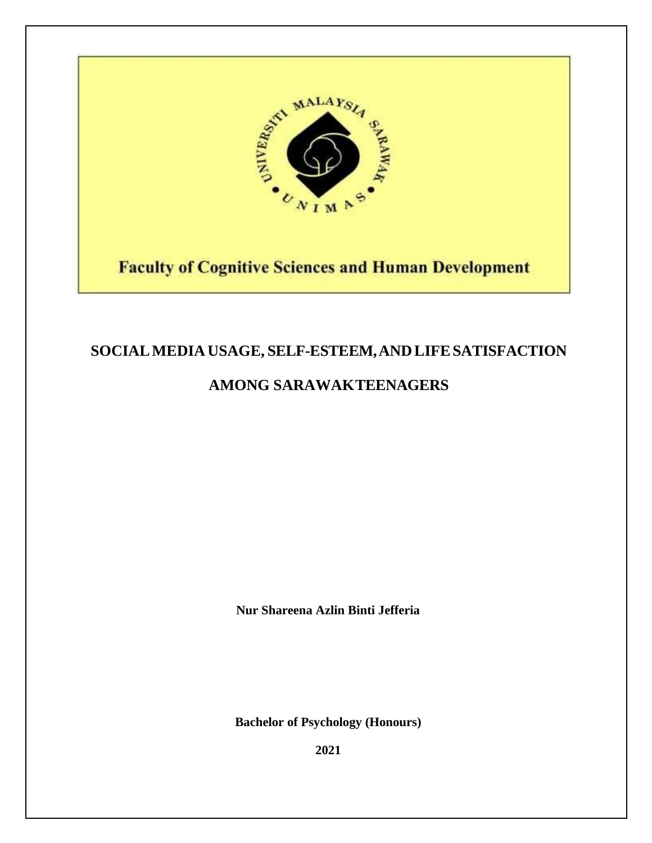

# **Faculty of Cognitive Sciences and Human Development**

# **SOCIALMEDIA USAGE, SELF-ESTEEM,AND LIFESATISFACTION**

# **AMONG SARAWAKTEENAGERS**

**Nur Shareena Azlin Binti Jefferia**

**Bachelor of Psychology (Honours)** 

**2021**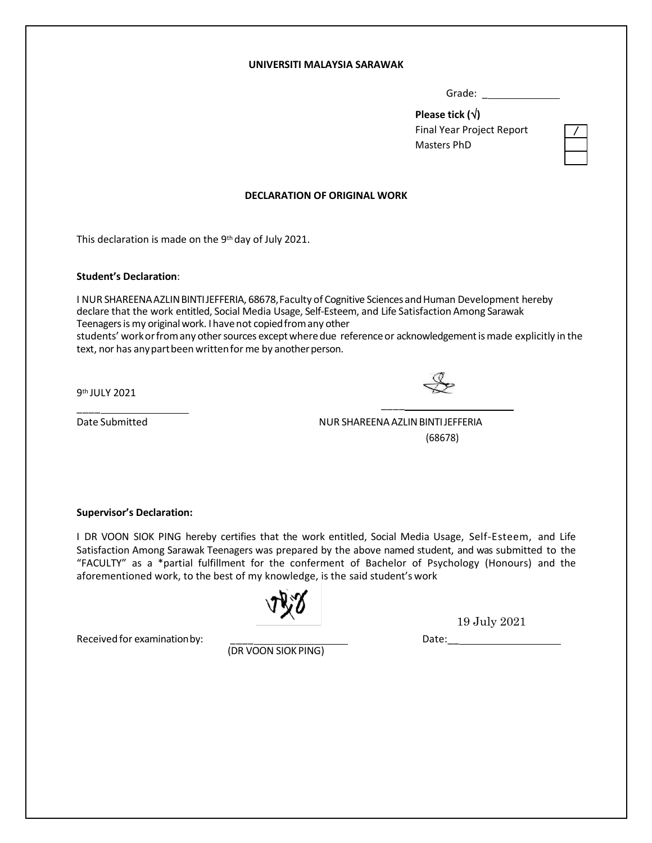#### **UNIVERSITI MALAYSIA SARAWAK**

Grade: \_

**Please tick ()** Final Year Project Report Masters PhD

#### **DECLARATION OF ORIGINAL WORK**

This declaration is made on the 9th day of July 2021.

#### **Student's Declaration**:

I NUR SHAREENA AZLIN BINTIJEFFERIA, 68678, Faculty of Cognitive Sciences and Human Development hereby declare that the work entitled, Social Media Usage, Self-Esteem, and Life Satisfaction Among Sarawak Teenagers is my original work. I have not copied from any other students' work or from any other sources except where due reference or acknowledgement is made explicitly in the text, nor has any part been written for me by another person.

9th JULY 2021

 $\overline{\phantom{a}}$ 

Date Submitted NUR SHAREENAAZLINBINTIJEFFERIA (68678)

 $\overline{\phantom{a}}$ 

#### **Supervisor's Declaration:**

I DR VOON SIOK PING hereby certifies that the work entitled, Social Media Usage, Self-Esteem, and Life Satisfaction Among Sarawak Teenagers was prepared by the above named student, and was submitted to the "FACULTY" as a \*partial fulfillment for the conferment of Bachelor of Psychology (Honours) and the aforementioned work, to the best of my knowledge, is the said student's work

Received for examination by:

(DR VOON SIOK PING)

19 July 2021

Date:\_\_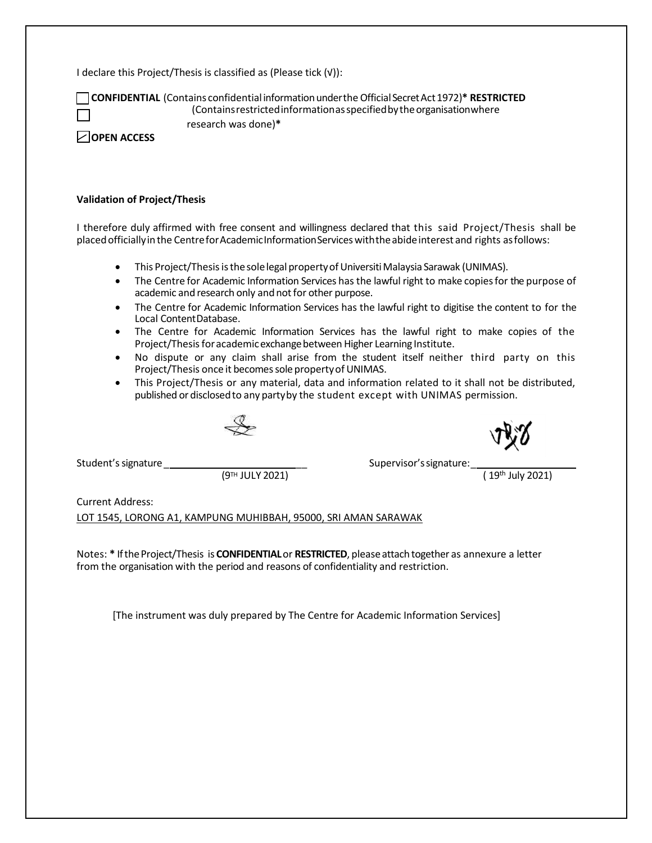I declare this Project/Thesis is classified as (Please tick (√)):

**CONFIDENTIAL** (Contains confidentialinformationundertheOfficialSecretAct1972)**\* RESTRICTED** (Containsrestrictedinformationasspecifiedbytheorganisationwhere

research was done)**\***

**OPEN ACCESS**

#### **Validation of Project/Thesis**

I therefore duly affirmed with free consent and willingness declared that this said Project/Thesis shall be placed officially in the Centre for Academic Information Services with the abide interest and rights as follows:

- This Project/Thesis is the sole legal property of Universiti Malaysia Sarawak (UNIMAS).
- The Centre for Academic Information Services has the lawful right to make copiesfor the purpose of academic and research only and not for other purpose.
- The Centre for Academic Information Services has the lawful right to digitise the content to for the Local ContentDatabase.
- The Centre for Academic Information Services has the lawful right to make copies of the Project/Thesis for academic exchange between Higher Learning Institute.
- No dispute or any claim shall arise from the student itself neither third party on this Project/Thesis once it becomes sole property of UNIMAS.
- This Project/Thesis or any material, data and information related to it shall not be distributed, published or disclosedto any partyby the student except with UNIMAS permission.

 $(9^{TH}$  JULY 2021)

Student'ssignature\_ \_\_ Supervisor'ssignature:\_

Current Address:

LOT 1545, LORONG A1, KAMPUNG MUHIBBAH, 95000, SRI AMAN SARAWAK

Notes: **\*** IftheProject/Thesis is **CONFIDENTIAL**or **RESTRICTED**, pleaseattach together as annexure a letter from the organisation with the period and reasons of confidentiality and restriction.

[The instrument was duly prepared by The Centre for Academic Information Services]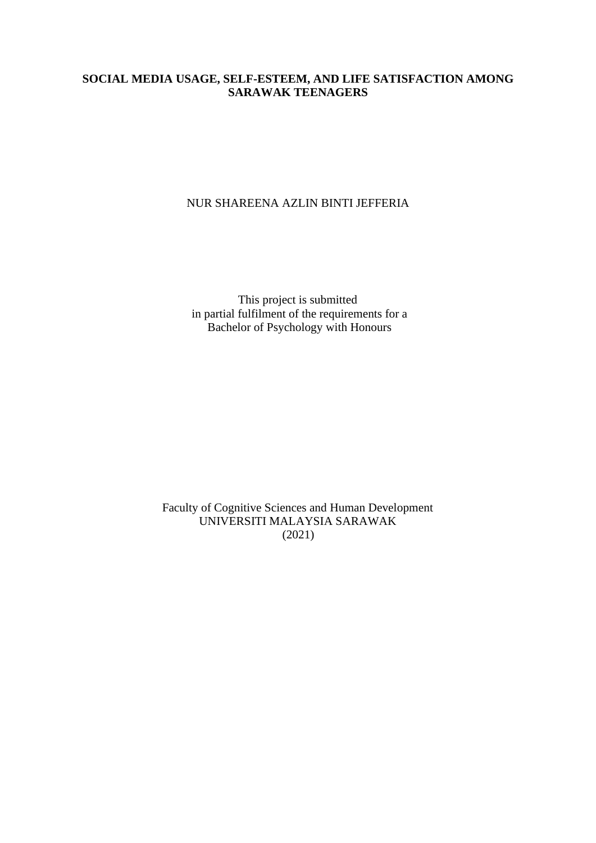### **SOCIAL MEDIA USAGE, SELF-ESTEEM, AND LIFE SATISFACTION AMONG SARAWAK TEENAGERS**

### NUR SHAREENA AZLIN BINTI JEFFERIA

This project is submitted in partial fulfilment of the requirements for a Bachelor of Psychology with Honours

Faculty of Cognitive Sciences and Human Development UNIVERSITI MALAYSIA SARAWAK (2021)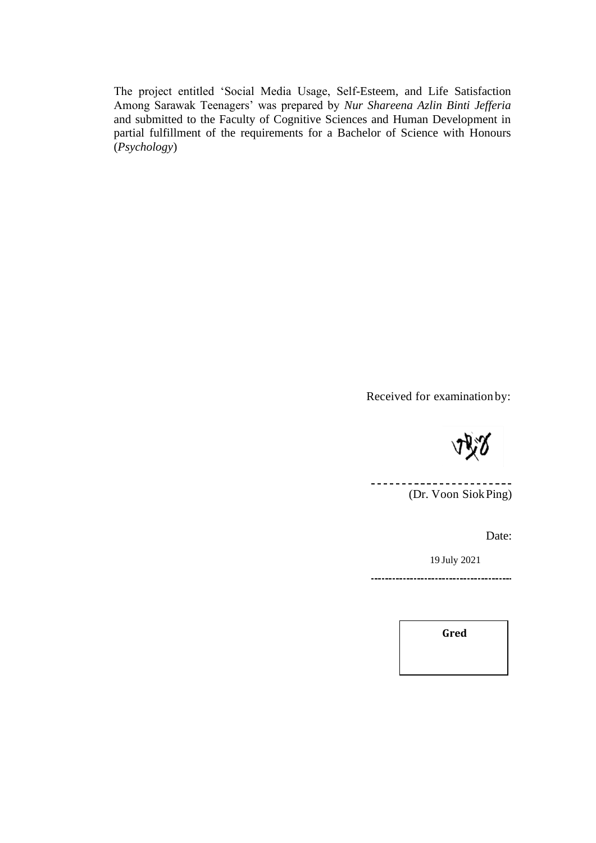The project entitled 'Social Media Usage, Self-Esteem, and Life Satisfaction Among Sarawak Teenagers' was prepared by *Nur Shareena Azlin Binti Jefferia*  and submitted to the Faculty of Cognitive Sciences and Human Development in partial fulfillment of the requirements for a Bachelor of Science with Honours (*Psychology*)

Received for examination by:

<u>\_\_\_\_\_\_\_\_\_\_\_\_\_\_\_\_</u> (Dr. Voon SiokPing)

Date:

19 July 2021

**Gred**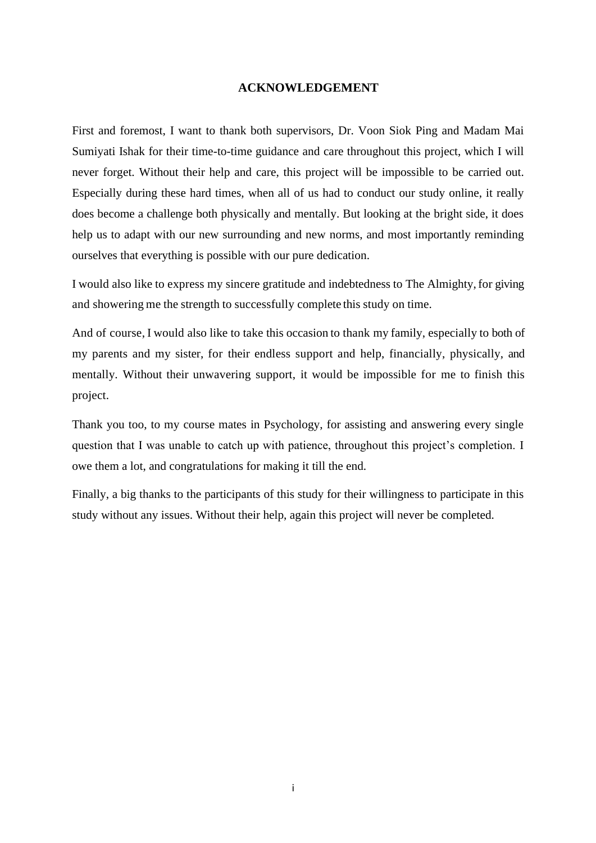### **ACKNOWLEDGEMENT**

First and foremost, I want to thank both supervisors, Dr. Voon Siok Ping and Madam Mai Sumiyati Ishak for their time-to-time guidance and care throughout this project, which I will never forget. Without their help and care, this project will be impossible to be carried out. Especially during these hard times, when all of us had to conduct our study online, it really does become a challenge both physically and mentally. But looking at the bright side, it does help us to adapt with our new surrounding and new norms, and most importantly reminding ourselves that everything is possible with our pure dedication.

I would also like to express my sincere gratitude and indebtedness to The Almighty,for giving and showering me the strength to successfully complete this study on time.

And of course, I would also like to take this occasion to thank my family, especially to both of my parents and my sister, for their endless support and help, financially, physically, and mentally. Without their unwavering support, it would be impossible for me to finish this project.

Thank you too, to my course mates in Psychology, for assisting and answering every single question that I was unable to catch up with patience, throughout this project's completion. I owe them a lot, and congratulations for making it till the end.

Finally, a big thanks to the participants of this study for their willingness to participate in this study without any issues. Without their help, again this project will never be completed.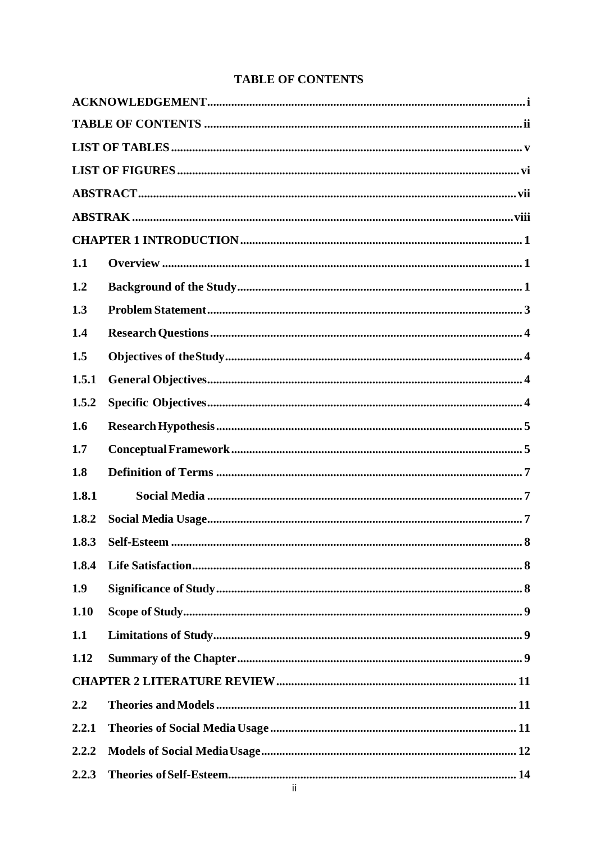# **TABLE OF CONTENTS**

| 1.1   |  |
|-------|--|
| 1.2   |  |
| 1.3   |  |
| 1.4   |  |
| 1.5   |  |
| 1.5.1 |  |
| 1.5.2 |  |
| 1.6   |  |
| 1.7   |  |
| 1.8   |  |
| 1.8.1 |  |
| 1.8.2 |  |
| 1.8.3 |  |
| 1.8.4 |  |
| 1.9   |  |
| 1.10  |  |
| 1.1   |  |
| 1.12  |  |
|       |  |
| 2.2   |  |
| 2.2.1 |  |
| 2.2.2 |  |
| 2.2.3 |  |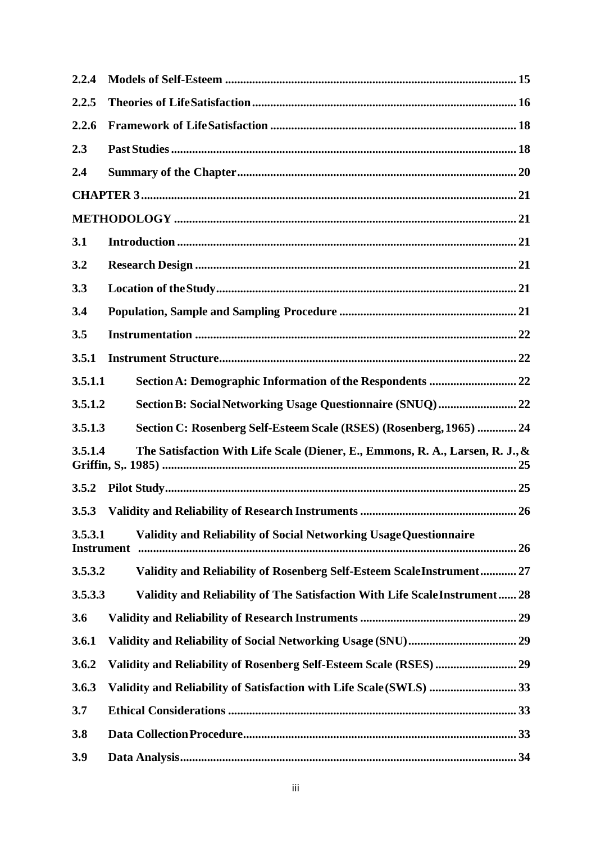| 2.2.4                        |                                                                               |
|------------------------------|-------------------------------------------------------------------------------|
| 2.2.5                        |                                                                               |
| 2.2.6                        |                                                                               |
| 2.3                          |                                                                               |
| 2.4                          |                                                                               |
|                              |                                                                               |
|                              |                                                                               |
| 3.1                          |                                                                               |
| 3.2                          |                                                                               |
| 3.3                          |                                                                               |
| 3.4                          |                                                                               |
| 3.5                          |                                                                               |
| 3.5.1                        |                                                                               |
| 3.5.1.1                      | Section A: Demographic Information of the Respondents  22                     |
| 3.5.1.2                      |                                                                               |
| 3.5.1.3                      | Section C: Rosenberg Self-Esteem Scale (RSES) (Rosenberg, 1965)  24           |
| 3.5.1.4                      | The Satisfaction With Life Scale (Diener, E., Emmons, R. A., Larsen, R. J., & |
| 3.5.2                        |                                                                               |
| 3.5.3                        |                                                                               |
| 3.5.3.1<br><b>Instrument</b> | <b>Validity and Reliability of Social Networking Usage Questionnaire</b>      |
| 3.5.3.2                      | Validity and Reliability of Rosenberg Self-Esteem ScaleInstrument 27          |
| 3.5.3.3                      | Validity and Reliability of The Satisfaction With Life Scale Instrument 28    |
| 3.6                          |                                                                               |
| 3.6.1                        |                                                                               |
| 3.6.2                        |                                                                               |
| 3.6.3                        | Validity and Reliability of Satisfaction with Life Scale (SWLS)  33           |
| 3.7                          |                                                                               |
| 3.8                          |                                                                               |
| 3.9                          |                                                                               |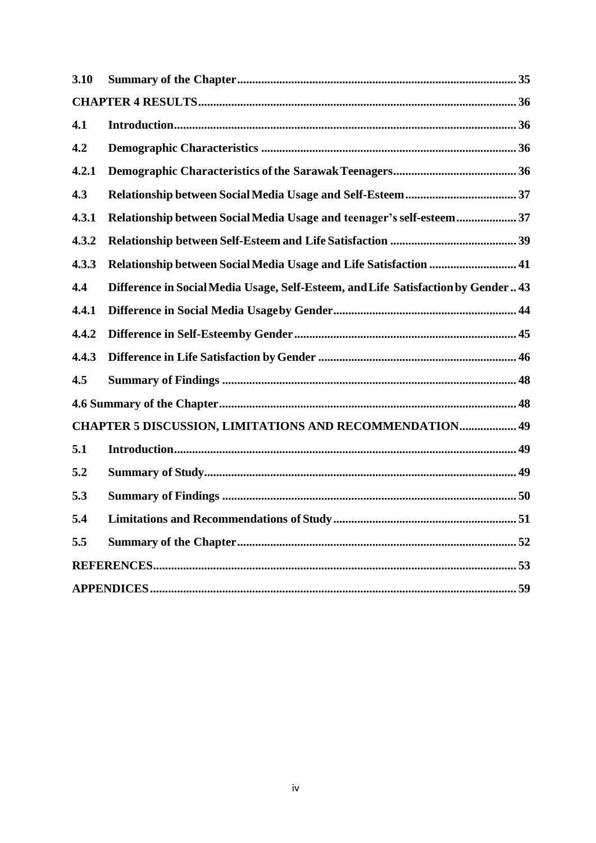| 3.10  |                                                                                   |
|-------|-----------------------------------------------------------------------------------|
|       |                                                                                   |
| 4.1   |                                                                                   |
| 4.2   |                                                                                   |
| 4.2.1 |                                                                                   |
| 4.3   |                                                                                   |
| 4.3.1 | Relationship between Social Media Usage and teenager's self-esteem 37             |
| 4.3.2 |                                                                                   |
| 4.3.3 | Relationship between Social Media Usage and Life Satisfaction  41                 |
| 4.4   | Difference in Social Media Usage, Self-Esteem, and Life Satisfaction by Gender 43 |
| 4.4.1 |                                                                                   |
| 4.4.2 |                                                                                   |
| 4.4.3 |                                                                                   |
| 4.5   |                                                                                   |
|       |                                                                                   |
|       | <b>CHAPTER 5 DISCUSSION, LIMITATIONS AND RECOMMENDATION 49</b>                    |
| 5.1   |                                                                                   |
| 5.2   |                                                                                   |
| 5.3   |                                                                                   |
| 5.4   | Limitations and Recommendations of Study<br>51                                    |
| 5.5   |                                                                                   |
|       |                                                                                   |
|       |                                                                                   |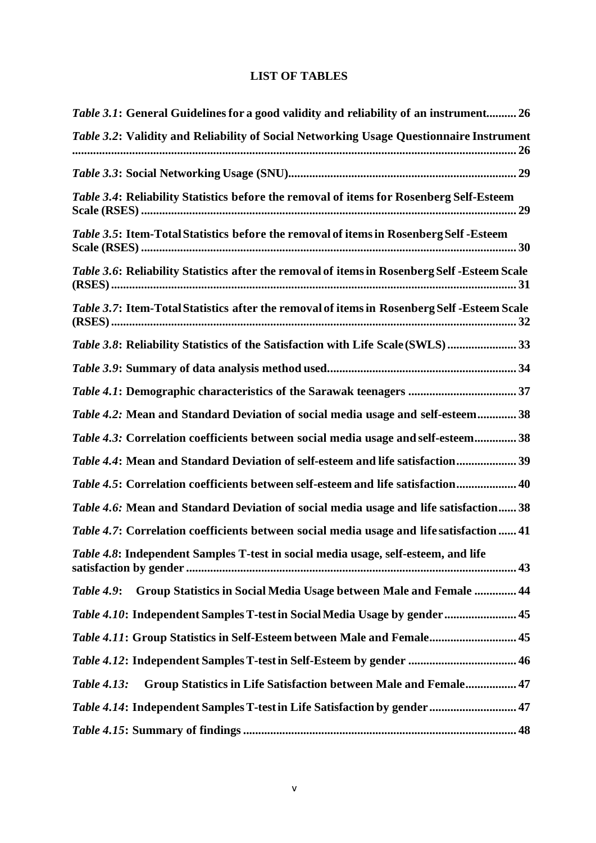## **LIST OF TABLES**

<span id="page-9-0"></span>

| Table 3.1: General Guidelines for a good validity and reliability of an instrument 26           |
|-------------------------------------------------------------------------------------------------|
| Table 3.2: Validity and Reliability of Social Networking Usage Questionnaire Instrument         |
|                                                                                                 |
| Table 3.4: Reliability Statistics before the removal of items for Rosenberg Self-Esteem         |
| <i>Table 3.5</i> : Item-Total Statistics before the removal of items in Rosenberg Self - Esteem |
| Table 3.6: Reliability Statistics after the removal of items in Rosenberg Self-Esteem Scale     |
| Table 3.7: Item-Total Statistics after the removal of items in Rosenberg Self-Esteem Scale      |
| Table 3.8: Reliability Statistics of the Satisfaction with Life Scale (SWLS) 33                 |
|                                                                                                 |
|                                                                                                 |
| Table 4.2: Mean and Standard Deviation of social media usage and self-esteem 38                 |
| <i>Table 4.3:</i> Correlation coefficients between social media usage and self-esteem 38        |
| Table 4.4: Mean and Standard Deviation of self-esteem and life satisfaction 39                  |
| Table 4.5: Correlation coefficients between self-esteem and life satisfaction 40                |
| Table 4.6: Mean and Standard Deviation of social media usage and life satisfaction 38           |
| Table 4.7: Correlation coefficients between social media usage and life satisfaction  41        |
| Table 4.8: Independent Samples T-test in social media usage, self-esteem, and life              |
| <b>Group Statistics in Social Media Usage between Male and Female  44</b><br><b>Table 4.9:</b>  |
| Table 4.10: Independent Samples T-test in Social Media Usage by gender 45                       |
| Table 4.11: Group Statistics in Self-Esteem between Male and Female 45                          |
|                                                                                                 |
| Group Statistics in Life Satisfaction between Male and Female 47<br><b>Table 4.13:</b>          |
| Table 4.14: Independent Samples T-test in Life Satisfaction by gender  47                       |
|                                                                                                 |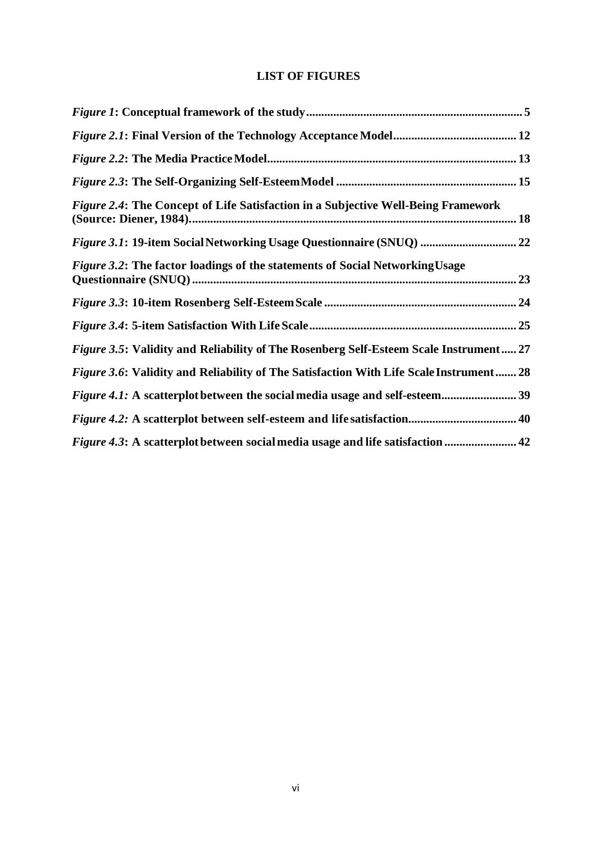## **LIST OF FIGURES**

<span id="page-10-0"></span>

| <i>Figure 2.4:</i> The Concept of Life Satisfaction in a Subjective Well-Being Framework      |  |
|-----------------------------------------------------------------------------------------------|--|
| Figure 3.1: 19-item Social Networking Usage Questionnaire (SNUQ)  22                          |  |
| Figure 3.2: The factor loadings of the statements of Social Networking Usage                  |  |
|                                                                                               |  |
|                                                                                               |  |
| Figure 3.5: Validity and Reliability of The Rosenberg Self-Esteem Scale Instrument 27         |  |
| <i>Figure 3.6:</i> Validity and Reliability of The Satisfaction With Life Scale Instrument 28 |  |
|                                                                                               |  |
|                                                                                               |  |
|                                                                                               |  |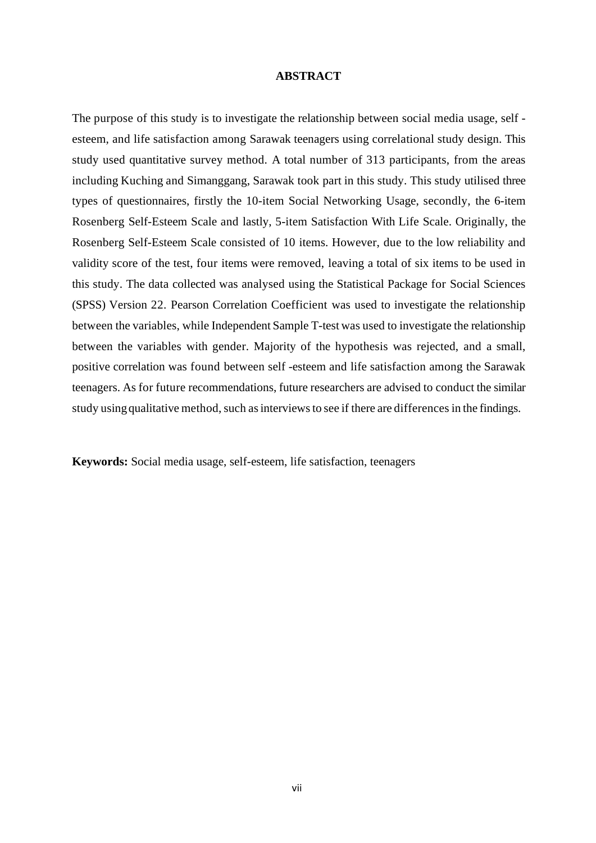#### **ABSTRACT**

<span id="page-11-0"></span>The purpose of this study is to investigate the relationship between social media usage, self esteem, and life satisfaction among Sarawak teenagers using correlational study design. This study used quantitative survey method. A total number of 313 participants, from the areas including Kuching and Simanggang, Sarawak took part in this study. This study utilised three types of questionnaires, firstly the 10-item Social Networking Usage, secondly, the 6-item Rosenberg Self-Esteem Scale and lastly, 5-item Satisfaction With Life Scale. Originally, the Rosenberg Self-Esteem Scale consisted of 10 items. However, due to the low reliability and validity score of the test, four items were removed, leaving a total of six items to be used in this study. The data collected was analysed using the Statistical Package for Social Sciences (SPSS) Version 22. Pearson Correlation Coefficient was used to investigate the relationship between the variables, while Independent Sample T-test was used to investigate the relationship between the variables with gender. Majority of the hypothesis was rejected, and a small, positive correlation was found between self -esteem and life satisfaction among the Sarawak teenagers. As for future recommendations, future researchers are advised to conduct the similar study using qualitative method, such as interviews to see if there are differences in the findings.

**Keywords:** Social media usage, self-esteem, life satisfaction, teenagers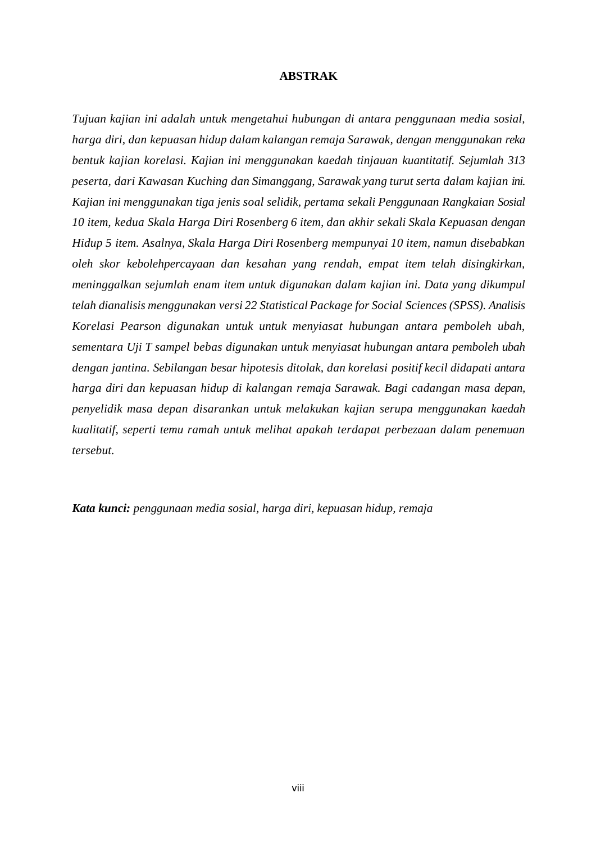#### **ABSTRAK**

<span id="page-12-0"></span>*Tujuan kajian ini adalah untuk mengetahui hubungan di antara penggunaan media sosial, harga diri, dan kepuasan hidup dalam kalangan remaja Sarawak, dengan menggunakan reka bentuk kajian korelasi. Kajian ini menggunakan kaedah tinjauan kuantitatif. Sejumlah 313 peserta, dari Kawasan Kuching dan Simanggang, Sarawak yang turut serta dalam kajian ini. Kajian ini menggunakan tiga jenis soal selidik, pertama sekali Penggunaan Rangkaian Sosial 10 item, kedua Skala Harga Diri Rosenberg 6 item, dan akhir sekali Skala Kepuasan dengan Hidup 5 item. Asalnya, Skala Harga Diri Rosenberg mempunyai 10 item, namun disebabkan oleh skor kebolehpercayaan dan kesahan yang rendah, empat item telah disingkirkan, meninggalkan sejumlah enam item untuk digunakan dalam kajian ini. Data yang dikumpul telah dianalisis menggunakan versi 22 Statistical Package for Social Sciences (SPSS). Analisis Korelasi Pearson digunakan untuk untuk menyiasat hubungan antara pemboleh ubah, sementara Uji T sampel bebas digunakan untuk menyiasat hubungan antara pemboleh ubah dengan jantina. Sebilangan besar hipotesis ditolak, dan korelasi positif kecil didapati antara harga diri dan kepuasan hidup di kalangan remaja Sarawak. Bagi cadangan masa depan, penyelidik masa depan disarankan untuk melakukan kajian serupa menggunakan kaedah kualitatif, seperti temu ramah untuk melihat apakah terdapat perbezaan dalam penemuan tersebut.*

*Kata kunci: penggunaan media sosial, harga diri, kepuasan hidup, remaja*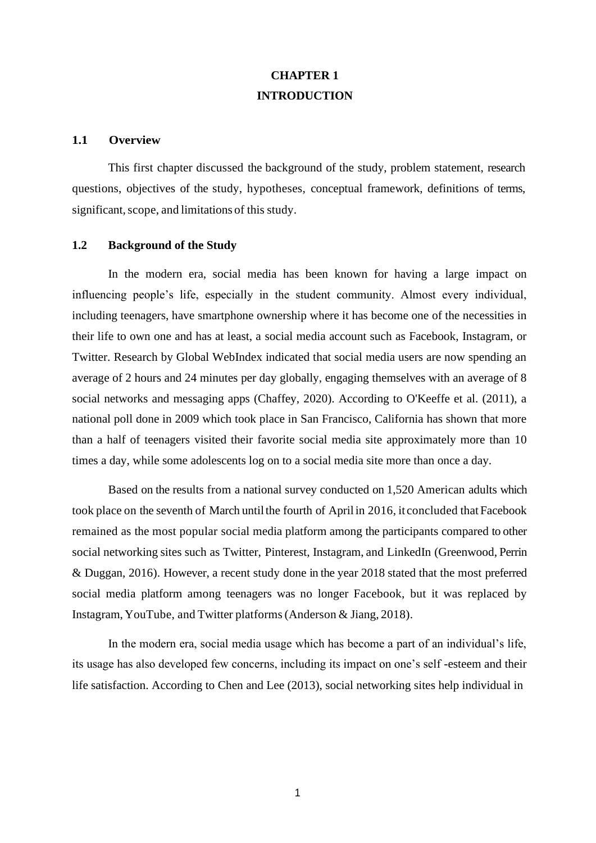# **CHAPTER 1 INTRODUCTION**

### <span id="page-13-1"></span><span id="page-13-0"></span>**1.1 Overview**

This first chapter discussed the background of the study, problem statement, research questions, objectives of the study, hypotheses, conceptual framework, definitions of terms, significant, scope, and limitations of this study.

### <span id="page-13-2"></span>**1.2 Background of the Study**

In the modern era, social media has been known for having a large impact on influencing people's life, especially in the student community. Almost every individual, including teenagers, have smartphone ownership where it has become one of the necessities in their life to own one and has at least, a social media account such as Facebook, Instagram, or Twitter. Research by Global WebIndex indicated that social media users are now spending an average of 2 hours and 24 minutes per day globally, engaging themselves with an average of 8 social networks and messaging apps (Chaffey, 2020). According to O'Keeffe et al. (2011), a national poll done in 2009 which took place in San Francisco, California has shown that more than a half of teenagers visited their favorite social media site approximately more than 10 times a day, while some adolescents log on to a social media site more than once a day.

Based on the results from a national survey conducted on 1,520 American adults which took place on the seventh of March until the fourth of April in 2016, it concluded that Facebook remained as the most popular social media platform among the participants compared to other social networking sites such as Twitter, Pinterest, Instagram, and LinkedIn (Greenwood, Perrin & Duggan, 2016). However, a recent study done in the year 2018 stated that the most preferred social media platform among teenagers was no longer Facebook, but it was replaced by Instagram, YouTube, and Twitter platforms(Anderson & Jiang, 2018).

In the modern era, social media usage which has become a part of an individual's life, its usage has also developed few concerns, including its impact on one's self -esteem and their life satisfaction. According to Chen and Lee (2013), social networking sites help individual in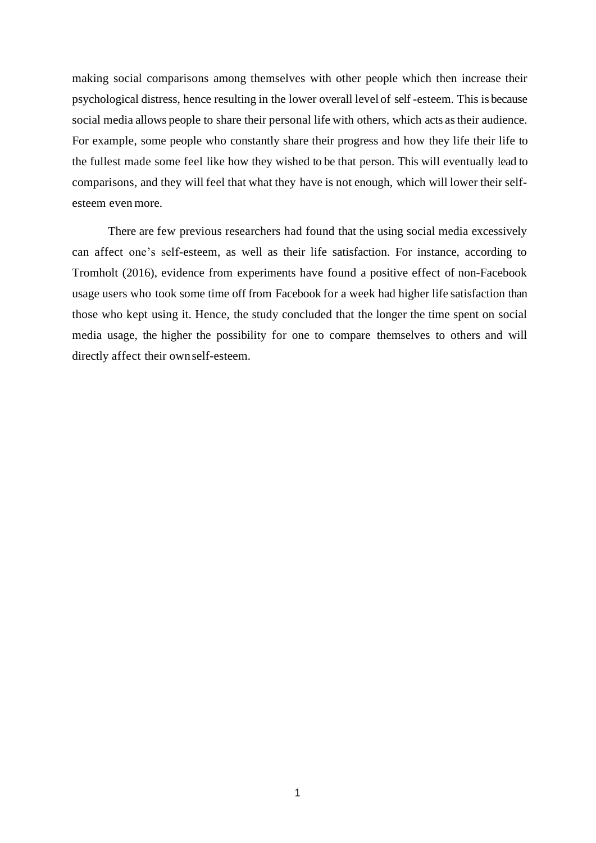making social comparisons among themselves with other people which then increase their psychological distress, hence resulting in the lower overall level of self -esteem. This is because social media allows people to share their personal life with others, which acts astheir audience. For example, some people who constantly share their progress and how they life their life to the fullest made some feel like how they wished to be that person. This will eventually lead to comparisons, and they will feel that what they have is not enough, which will lower their selfesteem even more.

There are few previous researchers had found that the using social media excessively can affect one's self-esteem, as well as their life satisfaction. For instance, according to Tromholt (2016), evidence from experiments have found a positive effect of non-Facebook usage users who took some time off from Facebook for a week had higher life satisfaction than those who kept using it. Hence, the study concluded that the longer the time spent on social media usage, the higher the possibility for one to compare themselves to others and will directly affect their ownself-esteem.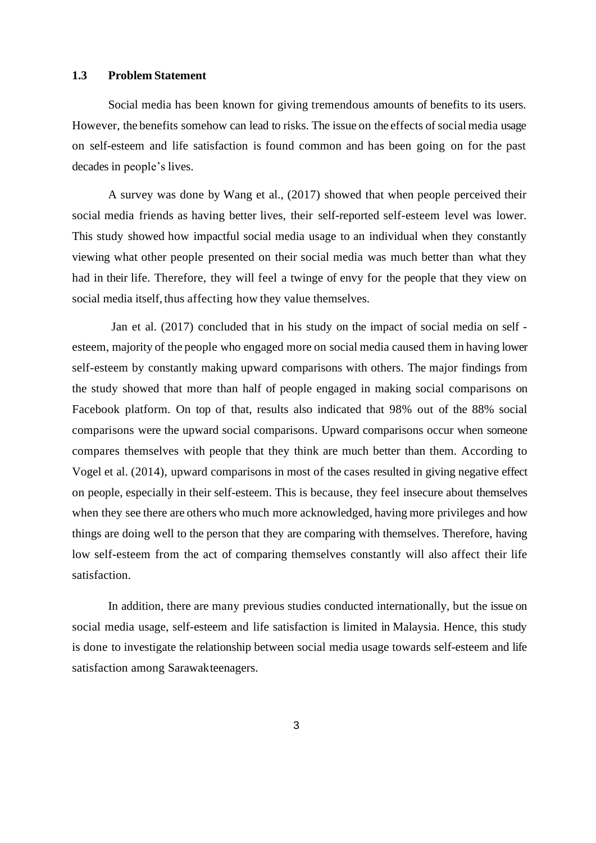### <span id="page-15-0"></span>**1.3 Problem Statement**

Social media has been known for giving tremendous amounts of benefits to its users. However, the benefits somehow can lead to risks. The issue on the effects of social media usage on self-esteem and life satisfaction is found common and has been going on for the past decades in people's lives.

A survey was done by Wang et al., (2017) showed that when people perceived their social media friends as having better lives, their self-reported self-esteem level was lower. This study showed how impactful social media usage to an individual when they constantly viewing what other people presented on their social media was much better than what they had in their life. Therefore, they will feel a twinge of envy for the people that they view on social media itself, thus affecting how they value themselves.

Jan et al. (2017) concluded that in his study on the impact of social media on self esteem, majority of the people who engaged more on social media caused them in having lower self-esteem by constantly making upward comparisons with others. The major findings from the study showed that more than half of people engaged in making social comparisons on Facebook platform. On top of that, results also indicated that 98% out of the 88% social comparisons were the upward social comparisons. Upward comparisons occur when someone compares themselves with people that they think are much better than them. According to Vogel et al. (2014), upward comparisons in most of the cases resulted in giving negative effect on people, especially in their self-esteem. This is because, they feel insecure about themselves when they see there are others who much more acknowledged, having more privileges and how things are doing well to the person that they are comparing with themselves. Therefore, having low self-esteem from the act of comparing themselves constantly will also affect their life satisfaction.

In addition, there are many previous studies conducted internationally, but the issue on social media usage, self-esteem and life satisfaction is limited in Malaysia. Hence, this study is done to investigate the relationship between social media usage towards self-esteem and life satisfaction among Sarawakteenagers.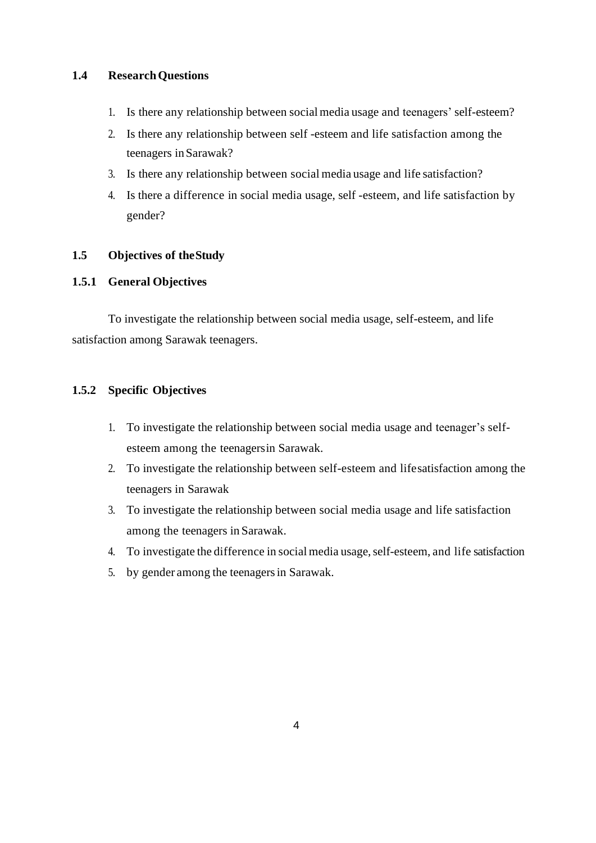### <span id="page-16-0"></span>**1.4 ResearchQuestions**

- 1. Is there any relationship between socialmedia usage and teenagers' self-esteem?
- 2. Is there any relationship between self -esteem and life satisfaction among the teenagers inSarawak?
- 3. Is there any relationship between social media usage and life satisfaction?
- 4. Is there a difference in social media usage, self -esteem, and life satisfaction by gender?

### <span id="page-16-1"></span>**1.5 Objectives of theStudy**

## <span id="page-16-2"></span>**1.5.1 General Objectives**

To investigate the relationship between social media usage, self-esteem, and life satisfaction among Sarawak teenagers.

### <span id="page-16-3"></span>**1.5.2 Specific Objectives**

- 1. To investigate the relationship between social media usage and teenager's selfesteem among the teenagersin Sarawak.
- 2. To investigate the relationship between self-esteem and lifesatisfaction among the teenagers in Sarawak
- 3. To investigate the relationship between social media usage and life satisfaction among the teenagers in Sarawak.
- 4. To investigate the difference in social media usage, self-esteem, and life satisfaction
- 5. by gender among the teenagersin Sarawak.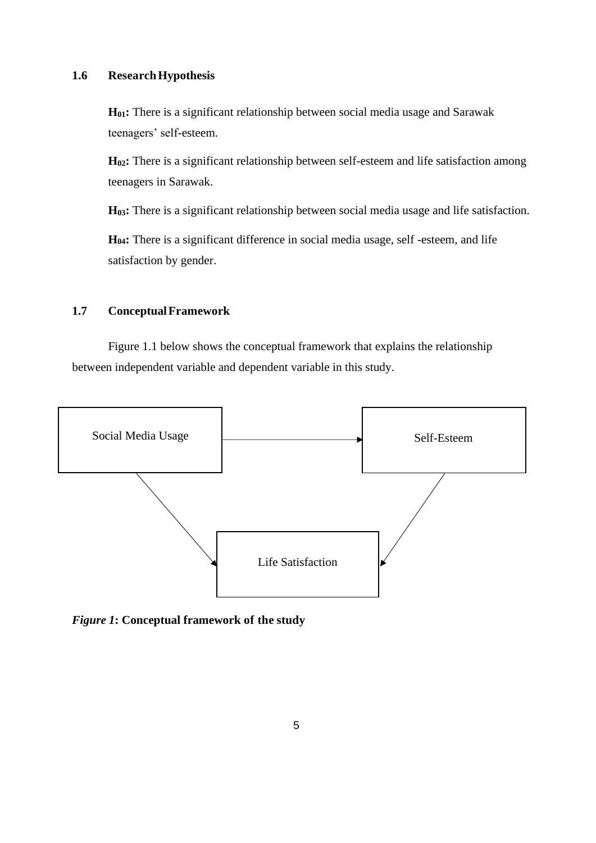### <span id="page-17-0"></span>**1.6 ResearchHypothesis**

**H01:** There is a significant relationship between social media usage and Sarawak teenagers' self-esteem.

**H02:** There is a significant relationship between self-esteem and life satisfaction among teenagers in Sarawak.

**H03:** There is a significant relationship between social media usage and life satisfaction.

**H04:** There is a significant difference in social media usage, self -esteem, and life satisfaction by gender.

### <span id="page-17-1"></span>**1.7 ConceptualFramework**

Figure 1.1 below shows the conceptual framework that explains the relationship between independent variable and dependent variable in this study.



<span id="page-17-2"></span>*Figure 1***: Conceptual framework of the study**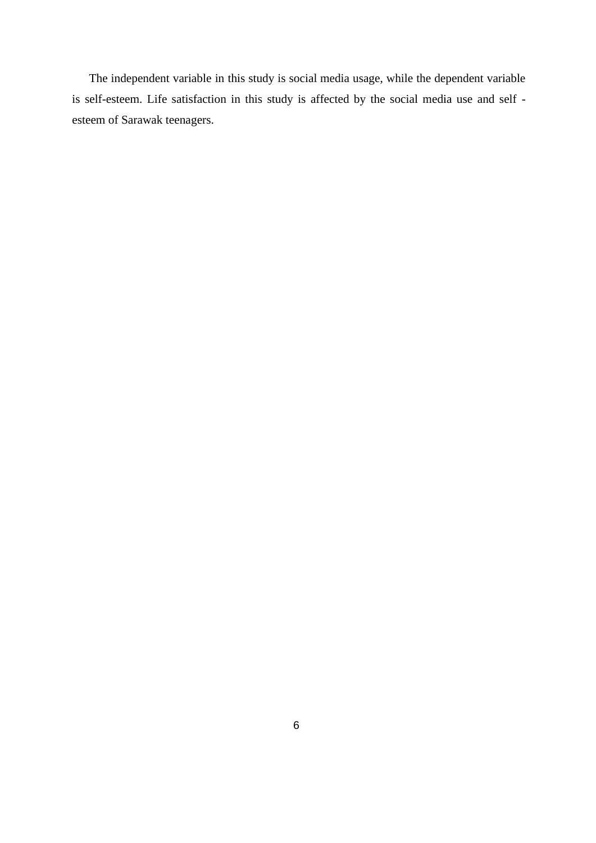The independent variable in this study is social media usage, while the dependent variable is self-esteem. Life satisfaction in this study is affected by the social media use and self esteem of Sarawak teenagers.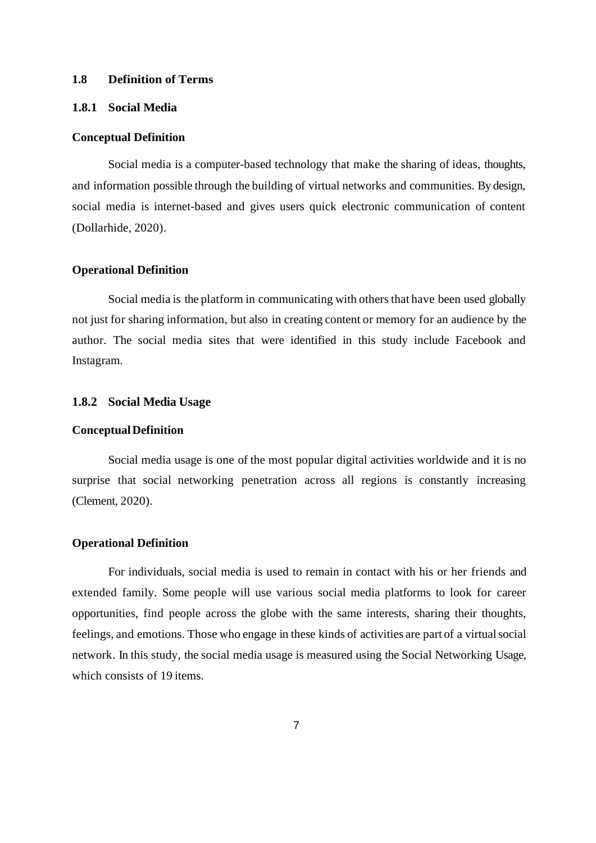### <span id="page-19-0"></span>**1.8 Definition of Terms**

### <span id="page-19-1"></span>**1.8.1 Social Media**

#### **Conceptual Definition**

Social media is a computer-based technology that make the sharing of ideas, thoughts, and information possible through the building of virtual networks and communities. By design, social media is internet-based and gives users quick electronic communication of content (Dollarhide, 2020).

#### **Operational Definition**

Social media is the platform in communicating with others that have been used globally not just for sharing information, but also in creating content or memory for an audience by the author. The social media sites that were identified in this study include Facebook and Instagram.

### <span id="page-19-2"></span>**1.8.2 Social Media Usage**

### **ConceptualDefinition**

Social media usage is one of the most popular digital activities worldwide and it is no surprise that social networking penetration across all regions is constantly increasing (Clement, 2020).

### **Operational Definition**

For individuals, social media is used to remain in contact with his or her friends and extended family. Some people will use various social media platforms to look for career opportunities, find people across the globe with the same interests, sharing their thoughts, feelings, and emotions. Those who engage in these kinds of activities are part of a virtualsocial network. In this study, the social media usage is measured using the Social Networking Usage, which consists of 19 items.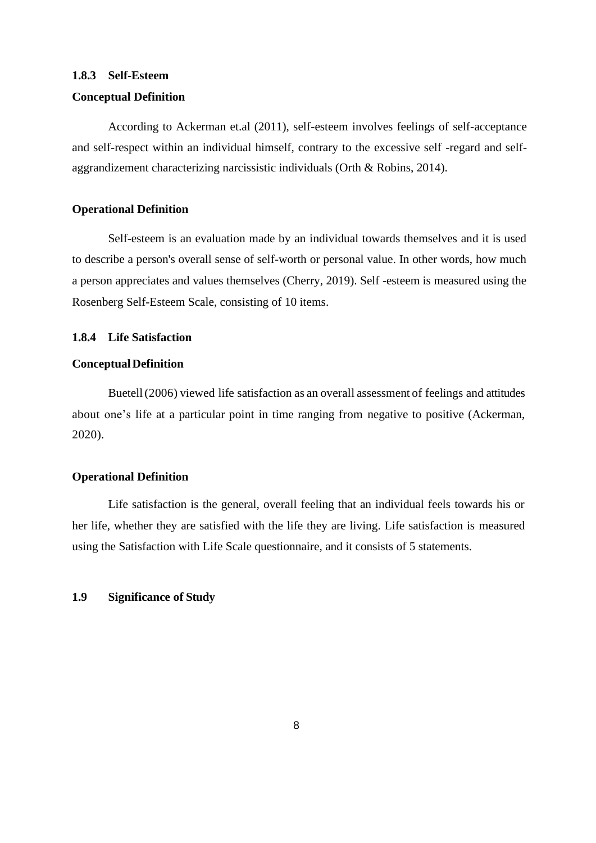### <span id="page-20-0"></span>**1.8.3 Self-Esteem**

### **Conceptual Definition**

According to Ackerman et.al (2011), self-esteem involves feelings of self-acceptance and self-respect within an individual himself, contrary to the excessive self -regard and selfaggrandizement characterizing narcissistic individuals (Orth & Robins, 2014).

### **Operational Definition**

Self-esteem is an evaluation made by an individual towards themselves and it is used to describe a person's overall sense of self-worth or personal value. In other words, how much a person appreciates and values themselves (Cherry, 2019). Self -esteem is measured using the Rosenberg Self-Esteem Scale, consisting of 10 items.

### <span id="page-20-1"></span>**1.8.4 Life Satisfaction**

### **ConceptualDefinition**

Buetell(2006) viewed life satisfaction as an overall assessment of feelings and attitudes about one's life at a particular point in time ranging from negative to positive (Ackerman, 2020).

### **Operational Definition**

Life satisfaction is the general, overall feeling that an individual feels towards his or her life, whether they are satisfied with the life they are living. Life satisfaction is measured using the Satisfaction with Life Scale questionnaire, and it consists of 5 statements.

### <span id="page-20-2"></span>**1.9 Significance of Study**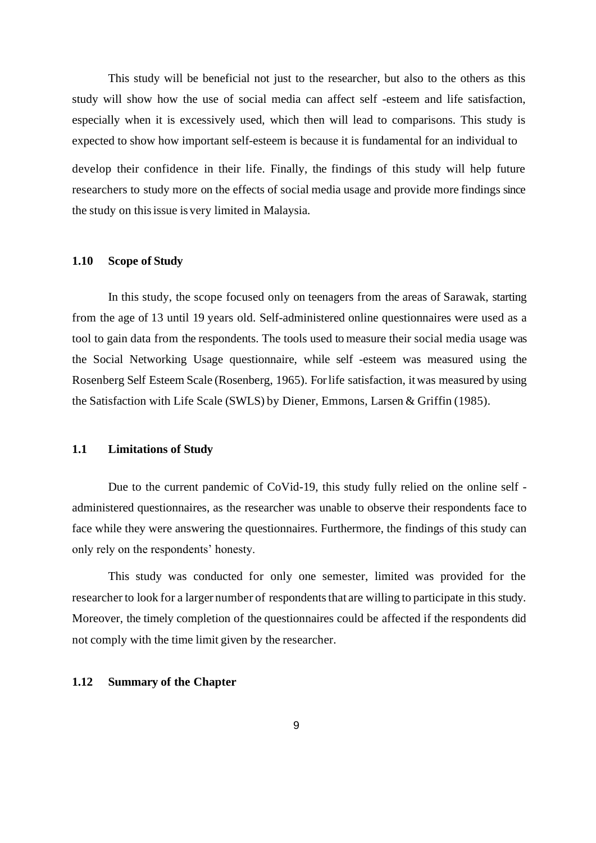This study will be beneficial not just to the researcher, but also to the others as this study will show how the use of social media can affect self -esteem and life satisfaction, especially when it is excessively used, which then will lead to comparisons. This study is expected to show how important self-esteem is because it is fundamental for an individual to develop their confidence in their life. Finally, the findings of this study will help future researchers to study more on the effects of social media usage and provide more findings since

#### <span id="page-21-0"></span>**1.10 Scope of Study**

the study on thisissue is very limited in Malaysia.

In this study, the scope focused only on teenagers from the areas of Sarawak, starting from the age of 13 until 19 years old. Self-administered online questionnaires were used as a tool to gain data from the respondents. The tools used to measure their social media usage was the Social Networking Usage questionnaire, while self -esteem was measured using the Rosenberg Self Esteem Scale (Rosenberg, 1965). Forlife satisfaction, itwas measured by using the Satisfaction with Life Scale (SWLS) by Diener, Emmons, Larsen & Griffin (1985).

### <span id="page-21-1"></span>**1.1 Limitations of Study**

Due to the current pandemic of CoVid-19, this study fully relied on the online self administered questionnaires, as the researcher was unable to observe their respondents face to face while they were answering the questionnaires. Furthermore, the findings of this study can only rely on the respondents' honesty.

This study was conducted for only one semester, limited was provided for the researcher to look for a larger number of respondents that are willing to participate in this study. Moreover, the timely completion of the questionnaires could be affected if the respondents did not comply with the time limit given by the researcher.

### <span id="page-21-2"></span>**1.12 Summary of the Chapter**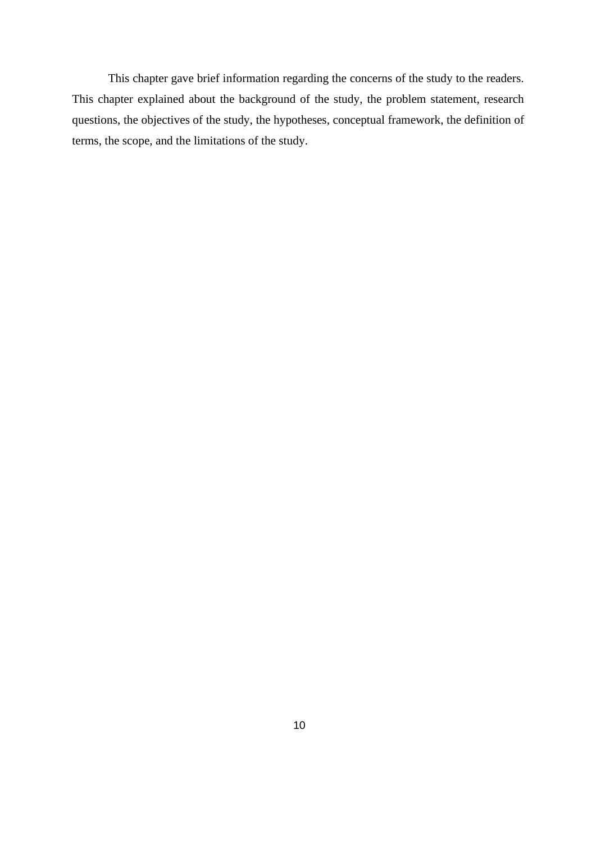This chapter gave brief information regarding the concerns of the study to the readers. This chapter explained about the background of the study, the problem statement, research questions, the objectives of the study, the hypotheses, conceptual framework, the definition of terms, the scope, and the limitations of the study.